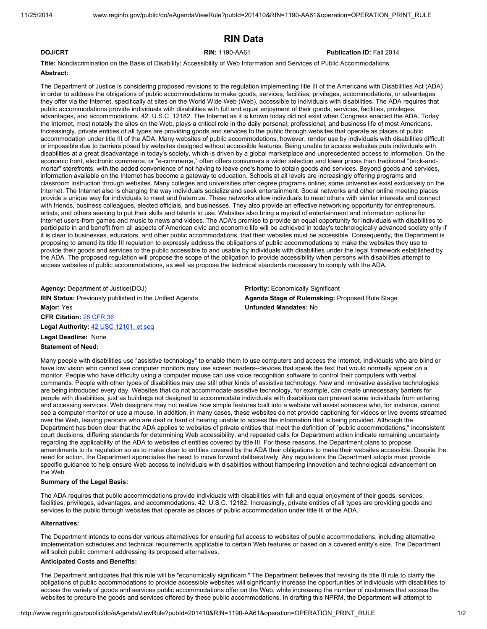# RIN Data

# **DOJ/CRT Publication ID: Fall 2014 RIN: 1190-AA61 Publication ID: Fall 2014**

Title: Nondiscrimination on the Basis of Disability; Accessibility of Web Information and Services of Public Accommodations Abstract:

The Department of Justice is considering proposed revisions to the regulation implementing title III of the Americans with Disabilities Act (ADA) in order to address the obligations of public accommodations to make goods, services, facilities, privileges, accommodations, or advantages they offer via the Internet, specifically at sites on the World Wide Web (Web), accessible to individuals with disabilities. The ADA requires that public accommodations provide individuals with disabilities with full and equal enjoyment of their goods, services, facilities, privileges, advantages, and accommodations. 42. U.S.C. 12182. The Internet as it is known today did not exist when Congress enacted the ADA. Today the Internet, most notably the sites on the Web, plays a critical role in the daily personal, professional, and business life of most Americans. Increasingly, private entities of all types are providing goods and services to the public through websites that operate as places of public accommodation under title III of the ADA. Many websites of public accommodations, however, render use by individuals with disabilities difficult or impossible due to barriers posed by websites designed without accessible features. Being unable to access websites puts individuals with disabilities at a great disadvantage in today's society, which is driven by a global marketplace and unprecedented access to information. On the economic front, electronic commerce, or "e-commerce," often offers consumers a wider selection and lower prices than traditional "brick-andmortar" storefronts, with the added convenience of not having to leave one's home to obtain goods and services. Beyond goods and services, information available on the Internet has become a gateway to education. Schools at all levels are increasingly offering programs and classroom instruction through websites. Many colleges and universities offer degree programs online; some universities exist exclusively on the Internet. The Internet also is changing the way individuals socialize and seek entertainment. Social networks and other online meeting places provide a unique way for individuals to meet and fraternize. These networks allow individuals to meet others with similar interests and connect with friends, business colleagues, elected officials, and businesses. They also provide an effective networking opportunity for entrepreneurs, artists, and others seeking to put their skills and talents to use. Websites also bring a myriad of entertainment and information options for Internet users-from games and music to news and videos. The ADA's promise to provide an equal opportunity for individuals with disabilities to participate in and benefit from all aspects of American civic and economic life will be achieved in today's technologically advanced society only if it is clear to businesses, educators, and other public accommodations, that their websites must be accessible. Consequently, the Department is proposing to amend its title III regulation to expressly address the obligations of public accommodations to make the websites they use to provide their goods and services to the public accessible to and usable by individuals with disabilities under the legal framework established by the ADA. The proposed regulation will propose the scope of the obligation to provide accessibility when persons with disabilities attempt to access websites of public accommodations, as well as propose the technical standards necessary to comply with the ADA.

Agency: Department of Justice(DOJ) **Agency: Economically Significant** Priority: Economically Significant RIN Status: Previously published in the Unified Agenda **Agenda Stage of Rulemaking**: Proposed Rule Stage Major: Yes Unfunded Mandates: No CFR Citation: 28 CFR 36

Legal Authority: 42 USC 12101, et seq

### Legal Deadline: None

Statement of Need:

Many people with disabilities use "assistive technology" to enable them to use computers and access the Internet. Individuals who are blind or have low vision who cannot see computer monitors may use screen readers--devices that speak the text that would normally appear on a monitor. People who have difficulty using a computer mouse can use voice recognition software to control their computers with verbal commands. People with other types of disabilities may use still other kinds of assistive technology. New and innovative assistive technologies are being introduced every day. Websites that do not accommodate assistive technology, for example, can create unnecessary barriers for people with disabilities, just as buildings not designed to accommodate individuals with disabilities can prevent some individuals from entering and accessing services. Web designers may not realize how simple features built into a website will assist someone who, for instance, cannot see a computer monitor or use a mouse. In addition, in many cases, these websites do not provide captioning for videos or live events streamed over the Web, leaving persons who are deaf or hard of hearing unable to access the information that is being provided. Although the Department has been clear that the ADA applies to websites of private entities that meet the definition of "public accommodations," inconsistent court decisions, differing standards for determining Web accessibility, and repeated calls for Department action indicate remaining uncertainty regarding the applicability of the ADA to websites of entities covered by title III. For these reasons, the Department plans to propose amendments to its regulation so as to make clear to entities covered by the ADA their obligations to make their websites accessible. Despite the need for action, the Department appreciates the need to move forward deliberatively. Any regulations the Department adopts must provide specific guidance to help ensure Web access to individuals with disabilities without hampering innovation and technological advancement on the Web.

#### Summary of the Legal Basis:

The ADA requires that public accommodations provide individuals with disabilities with full and equal enjoyment of their goods, services, facilities, privileges, advantages, and accommodations. 42. U.S.C. 12182. Increasingly, private entities of all types are providing goods and services to the public through websites that operate as places of public accommodation under title III of the ADA.

### Alternatives:

The Department intends to consider various alternatives for ensuring full access to websites of public accommodations, including alternative implementation schedules and technical requirements applicable to certain Web features or based on a covered entity's size. The Department will solicit public comment addressing its proposed alternatives.

#### Anticipated Costs and Benefits:

The Department anticipates that this rule will be "economically significant." The Department believes that revising its title III rule to clarify the obligations of public accommodations to provide accessible websites will significantly increase the opportunities of individuals with disabilities to access the variety of goods and services public accommodations offer on the Web, while increasing the number of customers that access the websites to procure the goods and services offered by these public accommodations. In drafting this NPRM, the Department will attempt to